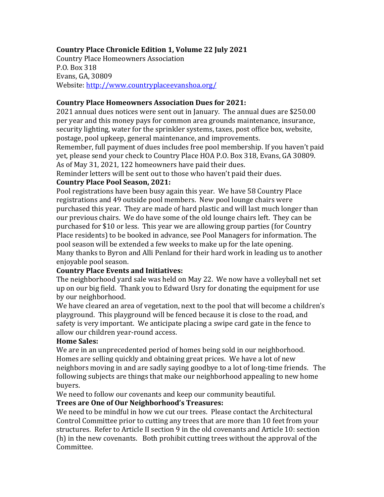## **Country Place Chronicle Edition 1, Volume 22 July 2021**

Country Place Homeowners Association P.O. Box 318 Evans, GA, 30809 Website: http://www.countryplaceevanshoa.org/

#### **Country Place Homeowners Association Dues for 2021:**

2021 annual dues notices were sent out in January. The annual dues are \$250.00 per year and this money pays for common area grounds maintenance, insurance, security lighting, water for the sprinkler systems, taxes, post office box, website, postage, pool upkeep, general maintenance, and improvements.

Remember, full payment of dues includes free pool membership. If you haven't paid yet, please send your check to Country Place HOA P.O. Box 318, Evans, GA 30809. As of May 31, 2021, 122 homeowners have paid their dues.

Reminder letters will be sent out to those who haven't paid their dues.

#### **Country Place Pool Season, 2021:**

Pool registrations have been busy again this year. We have 58 Country Place registrations and 49 outside pool members. New pool lounge chairs were purchased this year. They are made of hard plastic and will last much longer than our previous chairs. We do have some of the old lounge chairs left. They can be purchased for \$10 or less. This year we are allowing group parties (for Country Place residents) to be booked in advance, see Pool Managers for information. The pool season will be extended a few weeks to make up for the late opening. Many thanks to Byron and Alli Penland for their hard work in leading us to another enjoyable pool season.

### **Country Place Events and Initiatives:**

The neighborhood yard sale was held on May 22. We now have a volleyball net set up on our big field. Thank you to Edward Usry for donating the equipment for use by our neighborhood.

We have cleared an area of vegetation, next to the pool that will become a children's playground. This playground will be fenced because it is close to the road, and safety is very important. We anticipate placing a swipe card gate in the fence to allow our children year-round access.

### **Home Sales:**

We are in an unprecedented period of homes being sold in our neighborhood. Homes are selling quickly and obtaining great prices. We have a lot of new neighbors moving in and are sadly saying goodbye to a lot of long-time friends. The following subjects are things that make our neighborhood appealing to new home buyers.

We need to follow our covenants and keep our community beautiful.

### **Trees are One of Our Neighborhood's Treasures:**

We need to be mindful in how we cut our trees. Please contact the Architectural Control Committee prior to cutting any trees that are more than 10 feet from your structures. Refer to Article II section 9 in the old covenants and Article 10: section (h) in the new covenants. Both prohibit cutting trees without the approval of the Committee.